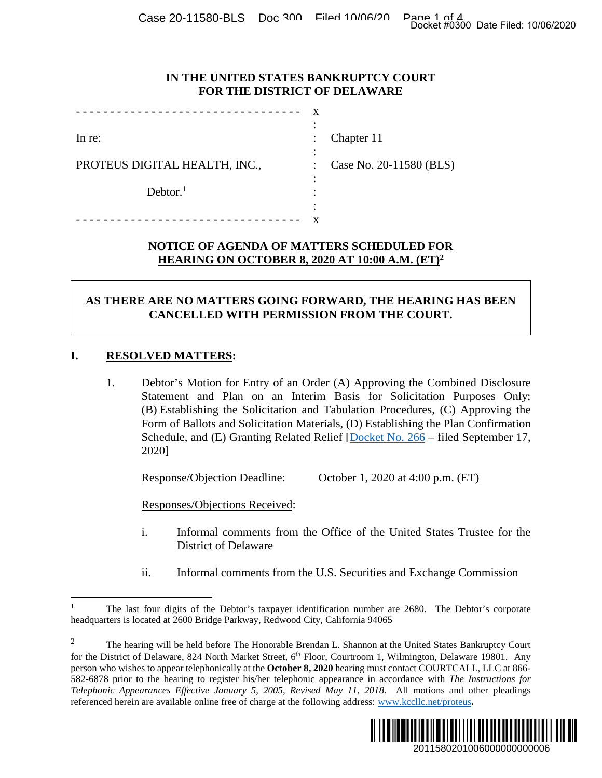Case 20-11580-BLS Doc 300 Filed 10/06/200 Page 1 of 4<br>Docket #0300 Date Filed: 10/06/2020

## **IN THE UNITED STATES BANKRUPTCY COURT FOR THE DISTRICT OF DELAWARE**

|                               | $\overline{\phantom{a}}$ |                         |
|-------------------------------|--------------------------|-------------------------|
| In re:                        | $\ddot{\cdot}$           | Chapter 11              |
|                               | ٠                        |                         |
| PROTEUS DIGITAL HEALTH, INC., |                          | Case No. 20-11580 (BLS) |
| Dektor. <sup>1</sup>          |                          |                         |
|                               | ٠                        |                         |
|                               | ٠                        |                         |
|                               |                          |                         |

#### **NOTICE OF AGENDA OF MATTERS SCHEDULED FOR HEARING ON OCTOBER 8, 2020 AT 10:00 A.M. (ET)<sup>2</sup>**

# **AS THERE ARE NO MATTERS GOING FORWARD, THE HEARING HAS BEEN CANCELLED WITH PERMISSION FROM THE COURT.**

## **I. RESOLVED MATTERS:**

1. Debtor's Motion for Entry of an Order (A) Approving the Combined Disclosure Statement and Plan on an Interim Basis for Solicitation Purposes Only; (B) Establishing the Solicitation and Tabulation Procedures, (C) Approving the Form of Ballots and Solicitation Materials, (D) Establishing the Plan Confirmation Schedule, and (E) Granting Related Relief [Docket No. 266 – filed September 17, 2020] 2011580201006000000000006 Docket #0300 Date Filed: 10/06/2020

Response/Objection Deadline: October 1, 2020 at 4:00 p.m. (ET)

Responses/Objections Received:

- i. Informal comments from the Office of the United States Trustee for the District of Delaware
- ii. Informal comments from the U.S. Securities and Exchange Commission

<sup>&</sup>lt;sup>2</sup> The hearing will be held before The Honorable Brendan L. Shannon at the United States Bankruptcy Court for the District of Delaware, 824 North Market Street, 6<sup>th</sup> Floor, Courtroom 1, Wilmington, Delaware 19801. Any person who wishes to appear telephonically at the **October 8, 2020** hearing must contact COURTCALL, LLC at 866- 582-6878 prior to the hearing to register his/her telephonic appearance in accordance with *The Instructions for Telephonic Appearances Effective January 5, 2005, Revised May 11, 2018.* All motions and other pleadings referenced herein are available online free of charge at the following address: www.kccllc.net/proteus**.** 



<sup>1</sup> The last four digits of the Debtor's taxpayer identification number are 2680. The Debtor's corporate headquarters is located at 2600 Bridge Parkway, Redwood City, California 94065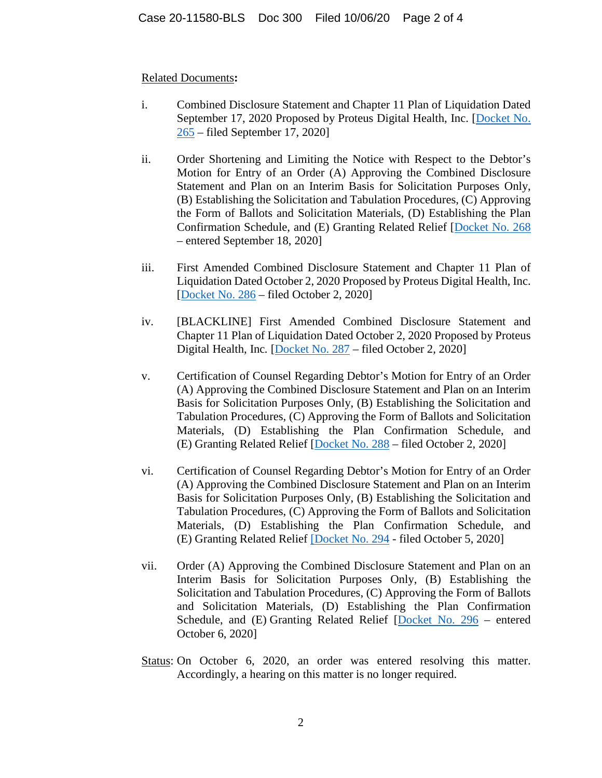#### Related Documents**:**

- i. Combined Disclosure Statement and Chapter 11 Plan of Liquidation Dated September 17, 2020 Proposed by Proteus Digital Health, Inc. [Docket No. 265 – filed September 17, 2020]
- ii. Order Shortening and Limiting the Notice with Respect to the Debtor's Motion for Entry of an Order (A) Approving the Combined Disclosure Statement and Plan on an Interim Basis for Solicitation Purposes Only, (B) Establishing the Solicitation and Tabulation Procedures, (C) Approving the Form of Ballots and Solicitation Materials, (D) Establishing the Plan Confirmation Schedule, and (E) Granting Related Relief [Docket No. 268 – entered September 18, 2020]
- iii. First Amended Combined Disclosure Statement and Chapter 11 Plan of Liquidation Dated October 2, 2020 Proposed by Proteus Digital Health, Inc. [Docket No. 286 – filed October 2, 2020]
- iv. [BLACKLINE] First Amended Combined Disclosure Statement and Chapter 11 Plan of Liquidation Dated October 2, 2020 Proposed by Proteus Digital Health, Inc*.* [Docket No. 287 – filed October 2, 2020]
- v. Certification of Counsel Regarding Debtor's Motion for Entry of an Order (A) Approving the Combined Disclosure Statement and Plan on an Interim Basis for Solicitation Purposes Only, (B) Establishing the Solicitation and Tabulation Procedures, (C) Approving the Form of Ballots and Solicitation Materials, (D) Establishing the Plan Confirmation Schedule, and (E) Granting Related Relief [Docket No. 288 – filed October 2, 2020]
- vi. Certification of Counsel Regarding Debtor's Motion for Entry of an Order (A) Approving the Combined Disclosure Statement and Plan on an Interim Basis for Solicitation Purposes Only, (B) Establishing the Solicitation and Tabulation Procedures, (C) Approving the Form of Ballots and Solicitation Materials, (D) Establishing the Plan Confirmation Schedule, and (E) Granting Related Relief [Docket No. 294 - filed October 5, 2020]
- vii. Order (A) Approving the Combined Disclosure Statement and Plan on an Interim Basis for Solicitation Purposes Only, (B) Establishing the Solicitation and Tabulation Procedures, (C) Approving the Form of Ballots and Solicitation Materials, (D) Establishing the Plan Confirmation Schedule, and (E) Granting Related Relief [Docket No. 296 – entered October 6, 2020]
- Status: On October 6, 2020, an order was entered resolving this matter. Accordingly, a hearing on this matter is no longer required.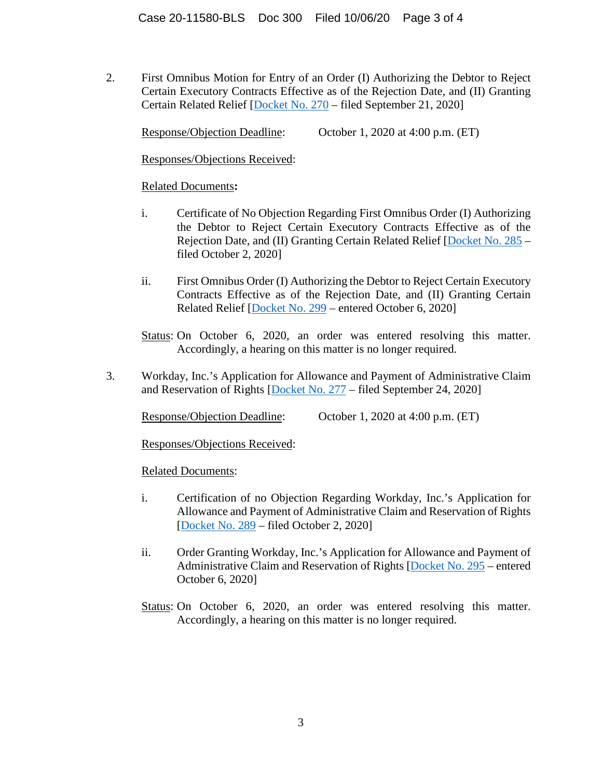2. First Omnibus Motion for Entry of an Order (I) Authorizing the Debtor to Reject Certain Executory Contracts Effective as of the Rejection Date, and (II) Granting Certain Related Relief [Docket No. 270 – filed September 21, 2020]

Response/Objection Deadline: October 1, 2020 at 4:00 p.m. (ET)

Responses/Objections Received:

## Related Documents**:**

- i. Certificate of No Objection Regarding First Omnibus Order (I) Authorizing the Debtor to Reject Certain Executory Contracts Effective as of the Rejection Date, and (II) Granting Certain Related Relief [Docket No. 285 – filed October 2, 2020]
- ii. First Omnibus Order (I) Authorizing the Debtor to Reject Certain Executory Contracts Effective as of the Rejection Date, and (II) Granting Certain Related Relief [Docket No. 299 – entered October 6, 2020]

Status: On October 6, 2020, an order was entered resolving this matter. Accordingly, a hearing on this matter is no longer required.

3. Workday, Inc.'s Application for Allowance and Payment of Administrative Claim and Reservation of Rights [Docket No. 277 – filed September 24, 2020]

Response/Objection Deadline: October 1, 2020 at 4:00 p.m. (ET)

Responses/Objections Received:

Related Documents:

- i. Certification of no Objection Regarding Workday, Inc.'s Application for Allowance and Payment of Administrative Claim and Reservation of Rights [Docket No. 289 – filed October 2, 2020]
- ii. Order Granting Workday, Inc.'s Application for Allowance and Payment of Administrative Claim and Reservation of Rights [Docket No. 295 – entered October 6, 2020]
- Status: On October 6, 2020, an order was entered resolving this matter. Accordingly, a hearing on this matter is no longer required.